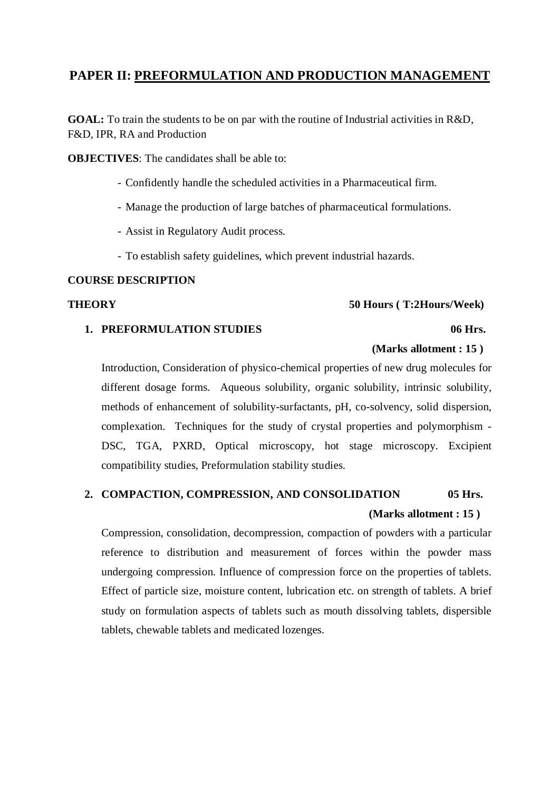# **PAPER II: PREFORMULATION AND PRODUCTION MANAGEMENT**

**GOAL:** To train the students to be on par with the routine of Industrial activities in R&D, F&D, IPR, RA and Production

**OBJECTIVES:** The candidates shall be able to:

- Confidently handle the scheduled activities in a Pharmaceutical firm.
- Manage the production of large batches of pharmaceutical formulations.
- Assist in Regulatory Audit process.
- To establish safety guidelines, which prevent industrial hazards.

#### **COURSE DESCRIPTION**

### **THEORY 50 Hours ( T:2Hours/Week)**

### **1. PREFORMULATION STUDIES 06 Hrs.**

### **(Marks allotment : 15 )**

Introduction, Consideration of physico-chemical properties of new drug molecules for different dosage forms. Aqueous solubility, organic solubility, intrinsic solubility, methods of enhancement of solubility-surfactants, pH, co-solvency, solid dispersion, complexation. Techniques for the study of crystal properties and polymorphism - DSC, TGA, PXRD, Optical microscopy, hot stage microscopy. Excipient compatibility studies, Preformulation stability studies.

# **2. COMPACTION, COMPRESSION, AND CONSOLIDATION 05 Hrs. (Marks allotment : 15 )**

Compression, consolidation, decompression, compaction of powders with a particular reference to distribution and measurement of forces within the powder mass undergoing compression. Influence of compression force on the properties of tablets. Effect of particle size, moisture content, lubrication etc. on strength of tablets. A brief study on formulation aspects of tablets such as mouth dissolving tablets, dispersible tablets, chewable tablets and medicated lozenges.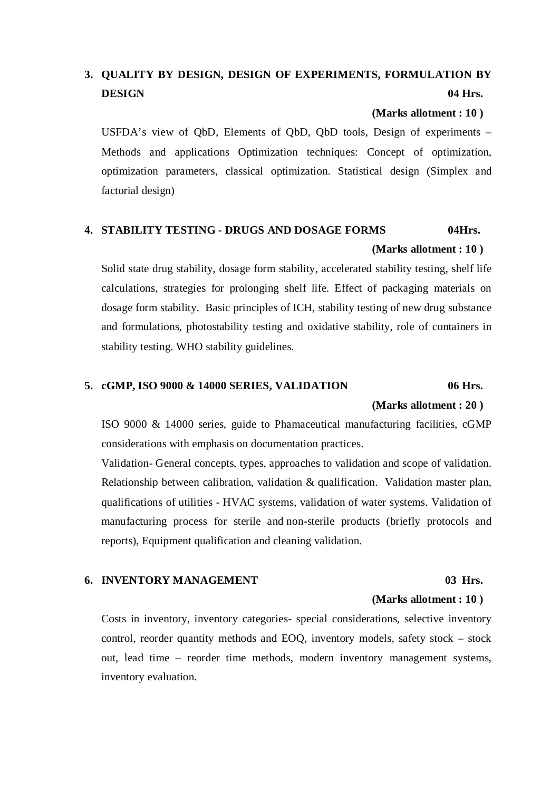# **3. QUALITY BY DESIGN, DESIGN OF EXPERIMENTS, FORMULATION BY DESIGN 04 Hrs.**

#### **(Marks allotment : 10 )**

USFDA's view of QbD, Elements of QbD, QbD tools, Design of experiments – Methods and applications Optimization techniques: Concept of optimization, optimization parameters, classical optimization. Statistical design (Simplex and factorial design)

# **4. STABILITY TESTING - DRUGS AND DOSAGE FORMS 04Hrs. (Marks allotment : 10 )**

Solid state drug stability, dosage form stability, accelerated stability testing, shelf life calculations, strategies for prolonging shelf life. Effect of packaging materials on dosage form stability. Basic principles of ICH, stability testing of new drug substance and formulations, photostability testing and oxidative stability, role of containers in stability testing. WHO stability guidelines.

### **5. cGMP, ISO 9000 & 14000 SERIES, VALIDATION 06 Hrs.**

#### **(Marks allotment : 20 )**

ISO 9000 & 14000 series, guide to Phamaceutical manufacturing facilities, cGMP considerations with emphasis on documentation practices.

Validation- General concepts, types, approaches to validation and scope of validation. Relationship between calibration, validation & qualification. Validation master plan, qualifications of utilities - HVAC systems, validation of water systems. Validation of manufacturing process for sterile and non-sterile products (briefly protocols and reports), Equipment qualification and cleaning validation.

### **6. INVENTORY MANAGEMENT 03 Hrs.**

#### **(Marks allotment : 10 )**

Costs in inventory, inventory categories- special considerations, selective inventory control, reorder quantity methods and EOQ, inventory models, safety stock – stock out, lead time – reorder time methods, modern inventory management systems, inventory evaluation.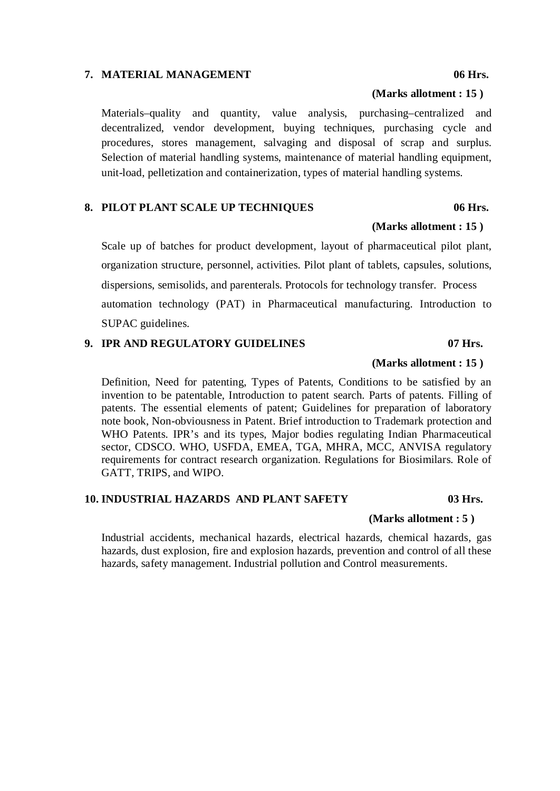### **7. MATERIAL MANAGEMENT 06 Hrs.**

Materials–quality and quantity, value analysis, purchasing–centralized and decentralized, vendor development, buying techniques, purchasing cycle and procedures, stores management, salvaging and disposal of scrap and surplus. Selection of material handling systems, maintenance of material handling equipment, unit-load, pelletization and containerization, types of material handling systems.

#### **8. PILOT PLANT SCALE UP TECHNIQUES 06 Hrs.**

Scale up of batches for product development, layout of pharmaceutical pilot plant, organization structure, personnel, activities. Pilot plant of tablets, capsules, solutions, dispersions, semisolids, and parenterals. Protocols for technology transfer. Process automation technology (PAT) in Pharmaceutical manufacturing. Introduction to SUPAC guidelines.

#### **9. IPR AND REGULATORY GUIDELINES 07 Hrs.**

#### **(Marks allotment : 15 )**

Definition, Need for patenting, Types of Patents, Conditions to be satisfied by an invention to be patentable, Introduction to patent search. Parts of patents. Filling of patents. The essential elements of patent; Guidelines for preparation of laboratory note book, Non-obviousness in Patent. Brief introduction to Trademark protection and WHO Patents. IPR's and its types, Major bodies regulating Indian Pharmaceutical sector, CDSCO. WHO, USFDA, EMEA, TGA, MHRA, MCC, ANVISA regulatory requirements for contract research organization. Regulations for Biosimilars. Role of GATT, TRIPS, and WIPO.

### **10. INDUSTRIAL HAZARDS AND PLANT SAFETY 03 Hrs.**

#### **(Marks allotment : 5 )**

Industrial accidents, mechanical hazards, electrical hazards, chemical hazards, gas hazards, dust explosion, fire and explosion hazards, prevention and control of all these hazards, safety management. Industrial pollution and Control measurements.

# **(Marks allotment : 15 )**

# **(Marks allotment : 15 )**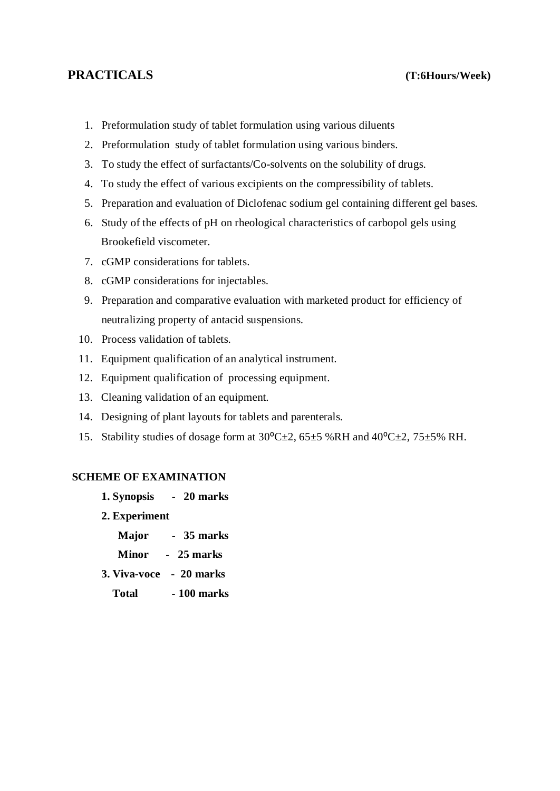## **PRACTICALS (T:6Hours/Week)**

- 1. Preformulation study of tablet formulation using various diluents
- 2. Preformulation study of tablet formulation using various binders.
- 3. To study the effect of surfactants/Co-solvents on the solubility of drugs.
- 4. To study the effect of various excipients on the compressibility of tablets.
- 5. Preparation and evaluation of Diclofenac sodium gel containing different gel bases.
- 6. Study of the effects of pH on rheological characteristics of carbopol gels using Brookefield viscometer.
- 7. cGMP considerations for tablets.
- 8. cGMP considerations for injectables.
- 9. Preparation and comparative evaluation with marketed product for efficiency of neutralizing property of antacid suspensions.
- 10. Process validation of tablets.
- 11. Equipment qualification of an analytical instrument.
- 12. Equipment qualification of processing equipment.
- 13. Cleaning validation of an equipment.
- 14. Designing of plant layouts for tablets and parenterals.
- 15. Stability studies of dosage form at  $30^{\circ}$ C $\pm$ 2, 65 $\pm$ 5 %RH and 40 $^{\circ}$ C $\pm$ 2, 75 $\pm$ 5% RH.

### **SCHEME OF EXAMINATION**

- **1. Synopsis 20 marks**
- **2. Experiment**
	- **Major - 35 marks**
	- **Minor 25 marks**
- **3. Viva-voce - 20 marks**
	- **Total - 100 marks**